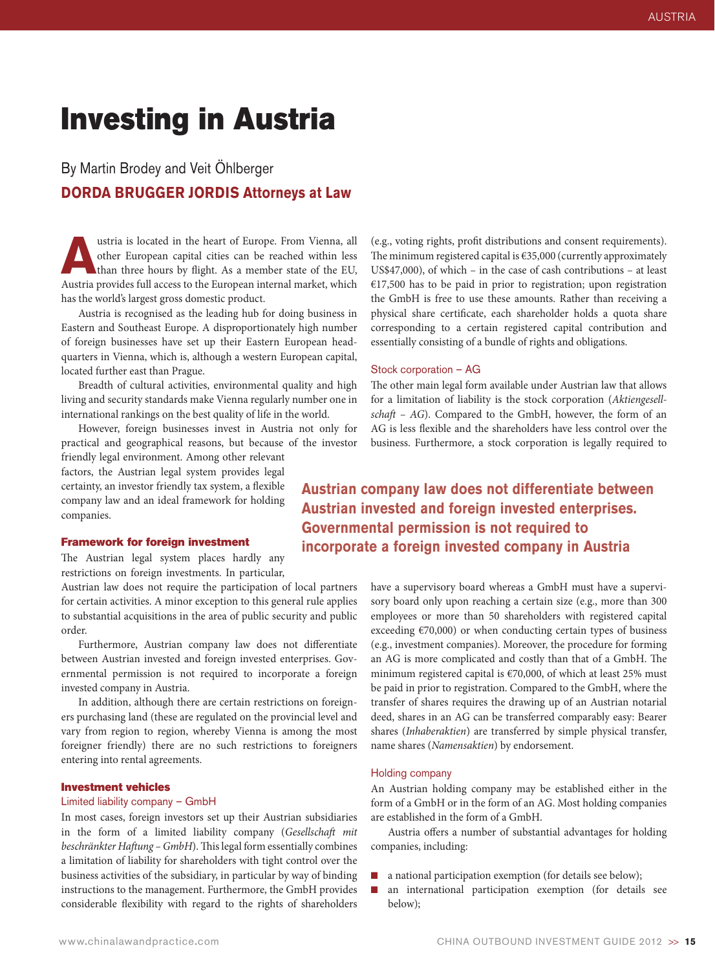# Investing in Austria

# By Martin Brodey and Veit Öhlberger **DORDA BRUGGER JORDIS Attorneys at Law**

The theory is located in the heart of Europe. From Vienna, all other European capital cities can be reached within less than three hours by flight. As a member state of the EU, austria provides full access to the European other European capital cities can be reached within less Austria provides full access to the European internal market, which has the world's largest gross domestic product.

Austria is recognised as the leading hub for doing business in Eastern and Southeast Europe. A disproportionately high number of foreign businesses have set up their Eastern European headquarters in Vienna, which is, although a western European capital, located further east than Prague.

Breadth of cultural activities, environmental quality and high living and security standards make Vienna regularly number one in international rankings on the best quality of life in the world.

However, foreign businesses invest in Austria not only for practical and geographical reasons, but because of the investor

friendly legal environment. Among other relevant factors, the Austrian legal system provides legal certainty, an investor friendly tax system, a flexible company law and an ideal framework for holding companies.

### Framework for foreign investment

The Austrian legal system places hardly any restrictions on foreign investments. In particular,

Austrian law does not require the participation of local partners for certain activities. A minor exception to this general rule applies to substantial acquisitions in the area of public security and public order.

Furthermore, Austrian company law does not differentiate between Austrian invested and foreign invested enterprises. Governmental permission is not required to incorporate a foreign invested company in Austria.

In addition, although there are certain restrictions on foreigners purchasing land (these are regulated on the provincial level and vary from region to region, whereby Vienna is among the most foreigner friendly) there are no such restrictions to foreigners entering into rental agreements.

### Investment vehicles

### Limited liability company – GmbH

In most cases, foreign investors set up their Austrian subsidiaries in the form of a limited liability company (*Gesellschaft mit beschränkter Haftung – GmbH*). This legal form essentially combines a limitation of liability for shareholders with tight control over the business activities of the subsidiary, in particular by way of binding instructions to the management. Furthermore, the GmbH provides considerable flexibility with regard to the rights of shareholders

(e.g., voting rights, profit distributions and consent requirements). The minimum registered capital is €35,000 (currently approximately US\$47,000), of which – in the case of cash contributions – at least €17,500 has to be paid in prior to registration; upon registration the GmbH is free to use these amounts. Rather than receiving a physical share certificate, each shareholder holds a quota share corresponding to a certain registered capital contribution and essentially consisting of a bundle of rights and obligations.

### Stock corporation – AG

The other main legal form available under Austrian law that allows for a limitation of liability is the stock corporation (*Aktiengesellschaft – AG*). Compared to the GmbH, however, the form of an AG is less flexible and the shareholders have less control over the business. Furthermore, a stock corporation is legally required to

# **Austrian company law does not differentiate between Austrian invested and foreign invested enterprises. Governmental permission is not required to incorporate a foreign invested company in Austria**

have a supervisory board whereas a GmbH must have a supervisory board only upon reaching a certain size (e.g., more than 300 employees or more than 50 shareholders with registered capital exceeding  $\epsilon$ 70,000) or when conducting certain types of business (e.g., investment companies). Moreover, the procedure for forming an AG is more complicated and costly than that of a GmbH. The minimum registered capital is €70,000, of which at least 25% must be paid in prior to registration. Compared to the GmbH, where the transfer of shares requires the drawing up of an Austrian notarial deed, shares in an AG can be transferred comparably easy: Bearer shares (*Inhaberaktien*) are transferred by simple physical transfer, name shares (*Namensaktien*) by endorsement.

### Holding company

An Austrian holding company may be established either in the form of a GmbH or in the form of an AG. Most holding companies are established in the form of a GmbH.

Austria offers a number of substantial advantages for holding companies, including:

- n a national participation exemption (for details see below);
- n an international participation exemption (for details see below);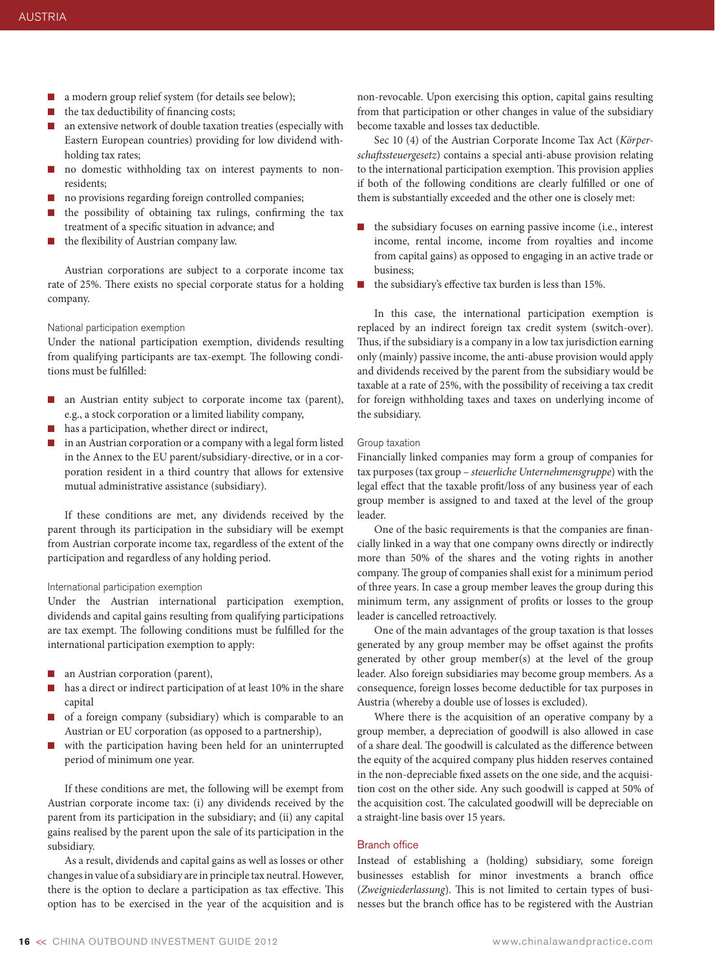- a modern group relief system (for details see below);
- $\blacksquare$  the tax deductibility of financing costs;
- n an extensive network of double taxation treaties (especially with Eastern European countries) providing for low dividend withholding tax rates;
- no domestic withholding tax on interest payments to nonresidents;
- $\blacksquare$  no provisions regarding foreign controlled companies;
- the possibility of obtaining tax rulings, confirming the tax treatment of a specific situation in advance; and
- $\blacksquare$  the flexibility of Austrian company law.

Austrian corporations are subject to a corporate income tax rate of 25%. There exists no special corporate status for a holding company.

### National participation exemption

Under the national participation exemption, dividends resulting from qualifying participants are tax-exempt. The following conditions must be fulfilled:

- n an Austrian entity subject to corporate income tax (parent), e.g., a stock corporation or a limited liability company,
- $\blacksquare$  has a participation, whether direct or indirect,
- $\Box$  in an Austrian corporation or a company with a legal form listed in the Annex to the EU parent/subsidiary-directive, or in a corporation resident in a third country that allows for extensive mutual administrative assistance (subsidiary).

If these conditions are met, any dividends received by the parent through its participation in the subsidiary will be exempt from Austrian corporate income tax, regardless of the extent of the participation and regardless of any holding period.

### International participation exemption

Under the Austrian international participation exemption, dividends and capital gains resulting from qualifying participations are tax exempt. The following conditions must be fulfilled for the international participation exemption to apply:

- n an Austrian corporation (parent),
- $\blacksquare$  has a direct or indirect participation of at least 10% in the share capital
- $\Box$  of a foreign company (subsidiary) which is comparable to an Austrian or EU corporation (as opposed to a partnership),
- with the participation having been held for an uninterrupted period of minimum one year.

If these conditions are met, the following will be exempt from Austrian corporate income tax: (i) any dividends received by the parent from its participation in the subsidiary; and (ii) any capital gains realised by the parent upon the sale of its participation in the subsidiary.

As a result, dividends and capital gains as well as losses or other changes in value of a subsidiary are in principle tax neutral. However, there is the option to declare a participation as tax effective. This option has to be exercised in the year of the acquisition and is

non-revocable. Upon exercising this option, capital gains resulting from that participation or other changes in value of the subsidiary become taxable and losses tax deductible.

Sec 10 (4) of the Austrian Corporate Income Tax Act (*Körperschaftssteuergesetz*) contains a special anti-abuse provision relating to the international participation exemption. This provision applies if both of the following conditions are clearly fulfilled or one of them is substantially exceeded and the other one is closely met:

- $\blacksquare$  the subsidiary focuses on earning passive income (i.e., interest income, rental income, income from royalties and income from capital gains) as opposed to engaging in an active trade or business;
- $\blacksquare$  the subsidiary's effective tax burden is less than 15%.

In this case, the international participation exemption is replaced by an indirect foreign tax credit system (switch-over). Thus, if the subsidiary is a company in a low tax jurisdiction earning only (mainly) passive income, the anti-abuse provision would apply and dividends received by the parent from the subsidiary would be taxable at a rate of 25%, with the possibility of receiving a tax credit for foreign withholding taxes and taxes on underlying income of the subsidiary.

### Group taxation

Financially linked companies may form a group of companies for tax purposes (tax group – *steuerliche Unternehmensgruppe*) with the legal effect that the taxable profit/loss of any business year of each group member is assigned to and taxed at the level of the group leader.

One of the basic requirements is that the companies are financially linked in a way that one company owns directly or indirectly more than 50% of the shares and the voting rights in another company. The group of companies shall exist for a minimum period of three years. In case a group member leaves the group during this minimum term, any assignment of profits or losses to the group leader is cancelled retroactively.

One of the main advantages of the group taxation is that losses generated by any group member may be offset against the profits generated by other group member(s) at the level of the group leader. Also foreign subsidiaries may become group members. As a consequence, foreign losses become deductible for tax purposes in Austria (whereby a double use of losses is excluded).

Where there is the acquisition of an operative company by a group member, a depreciation of goodwill is also allowed in case of a share deal. The goodwill is calculated as the difference between the equity of the acquired company plus hidden reserves contained in the non-depreciable fixed assets on the one side, and the acquisition cost on the other side. Any such goodwill is capped at 50% of the acquisition cost. The calculated goodwill will be depreciable on a straight-line basis over 15 years.

### Branch office

Instead of establishing a (holding) subsidiary, some foreign businesses establish for minor investments a branch office (*Zweigniederlassung*). This is not limited to certain types of businesses but the branch office has to be registered with the Austrian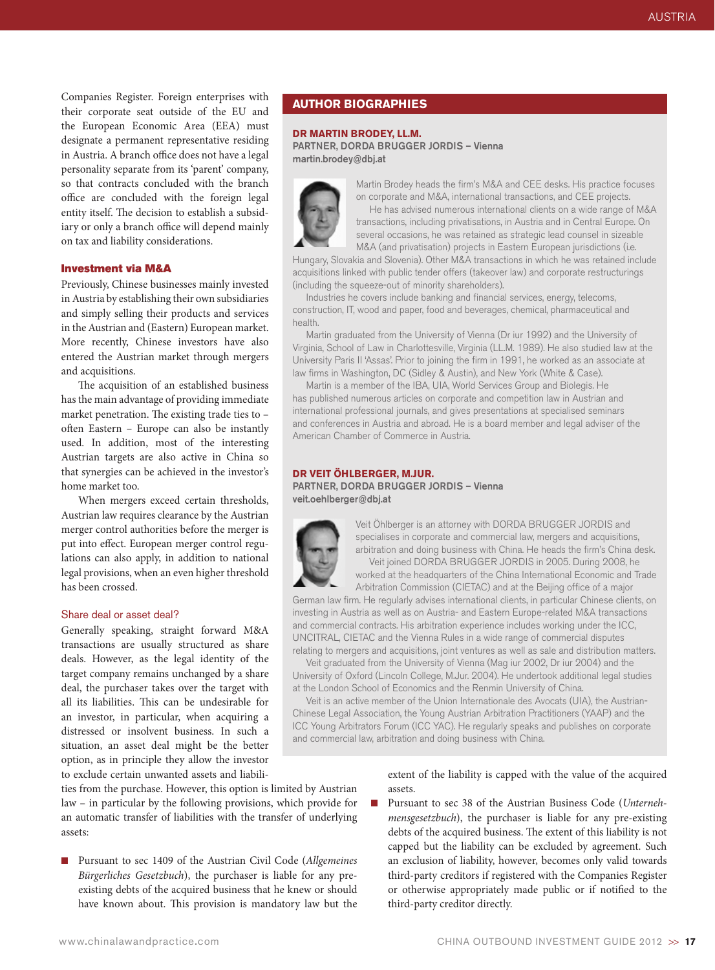Companies Register. Foreign enterprises with their corporate seat outside of the EU and the European Economic Area (EEA) must designate a permanent representative residing in Austria. A branch office does not have a legal personality separate from its 'parent' company, so that contracts concluded with the branch office are concluded with the foreign legal entity itself. The decision to establish a subsidiary or only a branch office will depend mainly on tax and liability considerations.

### Investment via M&A

Previously, Chinese businesses mainly invested in Austria by establishing their own subsidiaries and simply selling their products and services in the Austrian and (Eastern) European market. More recently, Chinese investors have also entered the Austrian market through mergers and acquisitions.

The acquisition of an established business has the main advantage of providing immediate market penetration. The existing trade ties to – often Eastern – Europe can also be instantly used. In addition, most of the interesting Austrian targets are also active in China so that synergies can be achieved in the investor's home market too.

When mergers exceed certain thresholds, Austrian law requires clearance by the Austrian merger control authorities before the merger is put into effect. European merger control regulations can also apply, in addition to national legal provisions, when an even higher threshold has been crossed.

### Share deal or asset deal?

Generally speaking, straight forward M&A transactions are usually structured as share deals. However, as the legal identity of the target company remains unchanged by a share deal, the purchaser takes over the target with all its liabilities. This can be undesirable for an investor, in particular, when acquiring a distressed or insolvent business. In such a situation, an asset deal might be the better option, as in principle they allow the investor to exclude certain unwanted assets and liabili-

ties from the purchase. However, this option is limited by Austrian law – in particular by the following provisions, which provide for an automatic transfer of liabilities with the transfer of underlying assets:

n Pursuant to sec 1409 of the Austrian Civil Code (*Allgemeines Bürgerliches Gesetzbuch*), the purchaser is liable for any preexisting debts of the acquired business that he knew or should have known about. This provision is mandatory law but the

### **Author biographies**

### **Dr Martin Brodey, LL.M.**

Partner, DORDA BRUGGER JORDIS – Vienna martin.brodey@dbj.at



Martin Brodey heads the firm's M&A and CEE desks. His practice focuses on corporate and M&A, international transactions, and CEE projects.

He has advised numerous international clients on a wide range of M&A transactions, including privatisations, in Austria and in Central Europe. On several occasions, he was retained as strategic lead counsel in sizeable M&A (and privatisation) projects in Eastern European jurisdictions (i.e.

Hungary, Slovakia and Slovenia). Other M&A transactions in which he was retained include acquisitions linked with public tender offers (takeover law) and corporate restructurings (including the squeeze-out of minority shareholders).

Industries he covers include banking and financial services, energy, telecoms, construction, IT, wood and paper, food and beverages, chemical, pharmaceutical and health.

Martin graduated from the University of Vienna (Dr iur 1992) and the University of Virginia, School of Law in Charlottesville, Virginia (LL.M. 1989). He also studied law at the University Paris II 'Assas'. Prior to joining the firm in 1991, he worked as an associate at law firms in Washington, DC (Sidley & Austin), and New York (White & Case).

Martin is a member of the IBA, UIA, World Services Group and Biolegis. He has published numerous articles on corporate and competition law in Austrian and international professional journals, and gives presentations at specialised seminars and conferences in Austria and abroad. He is a board member and legal adviser of the American Chamber of Commerce in Austria.

### **Dr Veit Öhlberger, M.Jur.**

Partner, DORDA BRUGGER JORDIS – Vienna veit.oehlberger@dbj.at



Veit Öhlberger is an attorney with DORDA BRUGGER JORDIS and specialises in corporate and commercial law, mergers and acquisitions, arbitration and doing business with China. He heads the firm's China desk. Veit joined DORDA BRUGGER JORDIS in 2005. During 2008, he worked at the headquarters of the China International Economic and Trade Arbitration Commission (CIETAC) and at the Beijing office of a major

German law firm. He regularly advises international clients, in particular Chinese clients, on investing in Austria as well as on Austria- and Eastern Europe-related M&A transactions and commercial contracts. His arbitration experience includes working under the ICC, UNCITRAL, CIETAC and the Vienna Rules in a wide range of commercial disputes relating to mergers and acquisitions, joint ventures as well as sale and distribution matters.

Veit graduated from the University of Vienna (Mag iur 2002, Dr iur 2004) and the University of Oxford (Lincoln College, M.Jur. 2004). He undertook additional legal studies at the London School of Economics and the Renmin University of China.

Veit is an active member of the Union Internationale des Avocats (UIA), the Austrian-Chinese Legal Association, the Young Austrian Arbitration Practitioners (YAAP) and the ICC Young Arbitrators Forum (ICC YAC). He regularly speaks and publishes on corporate and commercial law, arbitration and doing business with China.

> extent of the liability is capped with the value of the acquired assets.

n Pursuant to sec 38 of the Austrian Business Code (*Unternehmensgesetzbuch*), the purchaser is liable for any pre-existing debts of the acquired business. The extent of this liability is not capped but the liability can be excluded by agreement. Such an exclusion of liability, however, becomes only valid towards third-party creditors if registered with the Companies Register or otherwise appropriately made public or if notified to the third-party creditor directly.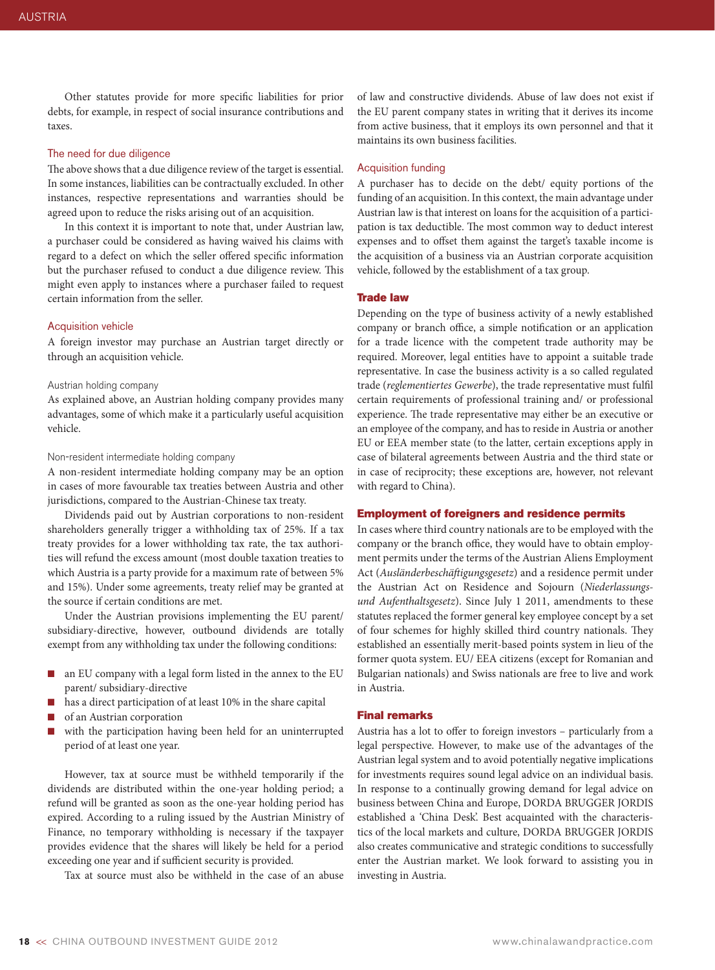Other statutes provide for more specific liabilities for prior debts, for example, in respect of social insurance contributions and taxes.

### The need for due diligence

The above shows that a due diligence review of the target is essential. In some instances, liabilities can be contractually excluded. In other instances, respective representations and warranties should be agreed upon to reduce the risks arising out of an acquisition.

In this context it is important to note that, under Austrian law, a purchaser could be considered as having waived his claims with regard to a defect on which the seller offered specific information but the purchaser refused to conduct a due diligence review. This might even apply to instances where a purchaser failed to request certain information from the seller.

### Acquisition vehicle

A foreign investor may purchase an Austrian target directly or through an acquisition vehicle.

### Austrian holding company

As explained above, an Austrian holding company provides many advantages, some of which make it a particularly useful acquisition vehicle.

### Non-resident intermediate holding company

A non-resident intermediate holding company may be an option in cases of more favourable tax treaties between Austria and other jurisdictions, compared to the Austrian-Chinese tax treaty.

Dividends paid out by Austrian corporations to non-resident shareholders generally trigger a withholding tax of 25%. If a tax treaty provides for a lower withholding tax rate, the tax authorities will refund the excess amount (most double taxation treaties to which Austria is a party provide for a maximum rate of between 5% and 15%). Under some agreements, treaty relief may be granted at the source if certain conditions are met.

Under the Austrian provisions implementing the EU parent/ subsidiary-directive, however, outbound dividends are totally exempt from any withholding tax under the following conditions:

- n an EU company with a legal form listed in the annex to the EU parent/ subsidiary-directive
- has a direct participation of at least 10% in the share capital
- of an Austrian corporation
- with the participation having been held for an uninterrupted period of at least one year.

However, tax at source must be withheld temporarily if the dividends are distributed within the one-year holding period; a refund will be granted as soon as the one-year holding period has expired. According to a ruling issued by the Austrian Ministry of Finance, no temporary withholding is necessary if the taxpayer provides evidence that the shares will likely be held for a period exceeding one year and if sufficient security is provided.

Tax at source must also be withheld in the case of an abuse

of law and constructive dividends. Abuse of law does not exist if the EU parent company states in writing that it derives its income from active business, that it employs its own personnel and that it maintains its own business facilities.

### Acquisition funding

A purchaser has to decide on the debt/ equity portions of the funding of an acquisition. In this context, the main advantage under Austrian law is that interest on loans for the acquisition of a participation is tax deductible. The most common way to deduct interest expenses and to offset them against the target's taxable income is the acquisition of a business via an Austrian corporate acquisition vehicle, followed by the establishment of a tax group.

### Trade law

Depending on the type of business activity of a newly established company or branch office, a simple notification or an application for a trade licence with the competent trade authority may be required. Moreover, legal entities have to appoint a suitable trade representative. In case the business activity is a so called regulated trade (*reglementiertes Gewerbe*), the trade representative must fulfil certain requirements of professional training and/ or professional experience. The trade representative may either be an executive or an employee of the company, and has to reside in Austria or another EU or EEA member state (to the latter, certain exceptions apply in case of bilateral agreements between Austria and the third state or in case of reciprocity; these exceptions are, however, not relevant with regard to China).

### Employment of foreigners and residence permits

In cases where third country nationals are to be employed with the company or the branch office, they would have to obtain employment permits under the terms of the Austrian Aliens Employment Act (*Ausländerbeschäftigungsgesetz*) and a residence permit under the Austrian Act on Residence and Sojourn (*Niederlassungsund Aufenthaltsgesetz*). Since July 1 2011, amendments to these statutes replaced the former general key employee concept by a set of four schemes for highly skilled third country nationals. They established an essentially merit-based points system in lieu of the former quota system. EU/ EEA citizens (except for Romanian and Bulgarian nationals) and Swiss nationals are free to live and work in Austria.

### Final remarks

Austria has a lot to offer to foreign investors – particularly from a legal perspective. However, to make use of the advantages of the Austrian legal system and to avoid potentially negative implications for investments requires sound legal advice on an individual basis. In response to a continually growing demand for legal advice on business between China and Europe, DORDA BRUGGER JORDIS established a 'China Desk'. Best acquainted with the characteristics of the local markets and culture, DORDA BRUGGER JORDIS also creates communicative and strategic conditions to successfully enter the Austrian market. We look forward to assisting you in investing in Austria.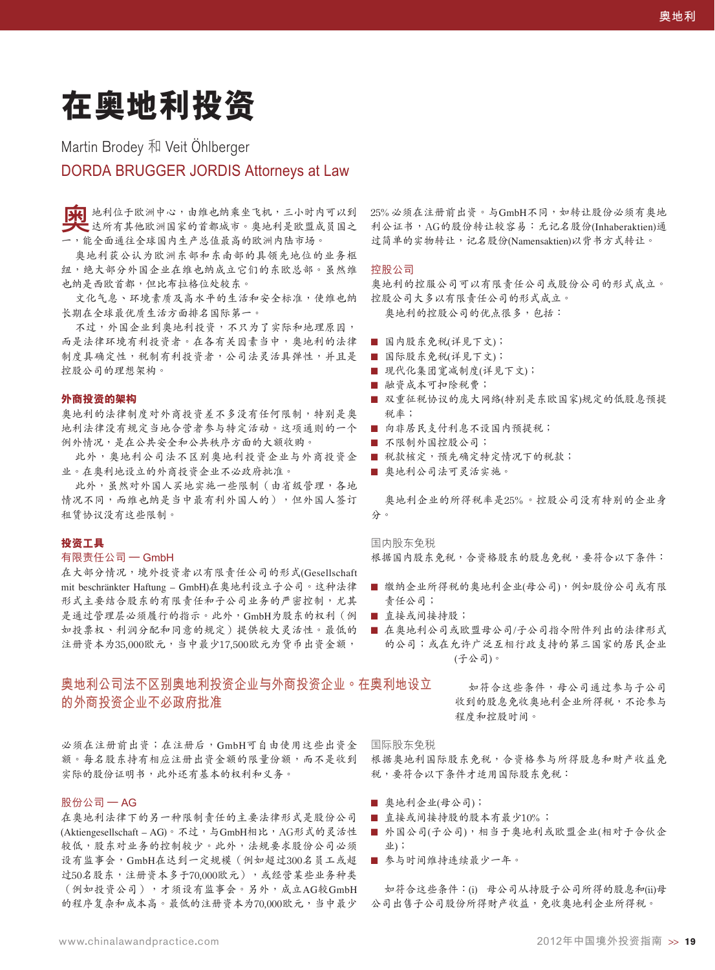# **在奧地利投資**

# Martin Brodev 和 Veit Öhlberger

# **DORDA BRUGGER JORDIS Attorneys at Law**

**[34]** 地利位于欧洲中心,由维也纳乘坐飞机,三小时内可以到 達所有其他歐洲國家的首都城市。奧地利是歐盟成員國之 一,能全面通往全球國內生產總值最高的歐洲內陸市場。

奥地利获公认为欧洲东部和东南部的具领先地位的业务枢 纽,绝大部分外国企业在维也纳成立它们的东欧总部。虽然维 也纳是西欧首都,但比布拉格位处较东。

文化气息、环境素质及高水平的生活和安全标准,使维也纳 长期在全球最优质生活方面排名国际第一。

不过,外国企业到奥地利投资,不只为了实际和地理原因, 而是法律环境有利投资者。在各有关因素当中,奥地利的法律 ■ 国内股东免税(详见下文); 制度具确定性,税制有利投资者,公司法灵活具弹性,并且是 控股公司的理想架構。

### **外商投資的架構**

奧地利的法律制度對外商投資差不多沒有任何限制,特別是奧 地利法律没有规定当地合营者参与特定活动。这项通则的一个 例外情況,是在公共安全和公共秩序方面的大額收購。

此外,奧地利公司法不区别奧地利投资企业与外商投资企 业。在奥利地设立的外商投资企业不必政府批准。

此外,虽然对外国人买地实施一些限制(由省级管理,各地 情况不同,而维也纳是当中最有利外国人的),但外国人签订 租赁协议没有这些限制。

### **投資工具**

### 有限责任公司 —  $GmbH$

在大部分情況,境外投資者以有限責任公司的形式(Gesellschaft mit beschränkter Haftung – GmbH)在奧地利設立子公司。這種法律 形式主要结合股东的有限责任和子公司业务的严密控制,尤其 是通过管理层必须履行的指示。此外,GmbH为股东的权利(例 ■ 直接或间接持股; 如投票权、利润分配和同意的规定)提供较大灵活性。最低的 ■ 在奥地利公司或欧盟母公司/子公司指令附件列出的法律形式 注册资本为35,000欧元,当中最少17,500欧元为货币出资金额,

## 奥地利公司法不区别奥地利投资企业与外商投资企业。在奥利地设立 **的外商投资企业不必政府批准**

必須在注冊前出資;在注冊後,GmbH可自由使用這些出資金 额。每名股东持有相应注册出资金额的限量份额,而不是收到 实际的股份证明书,此外还有基本的权利和义务。

### 股份公司 — AG

在奧地利法律下的另一種限制責任的主要法律形式是股份公司 (Aktiengesellschaft – AG)。不过,与GmbH相比,AG形式的灵活性 较低,股东对业务的控制较少。此外,法规要求股份公司必须 设有监事会,GmbH在达到一定规模(例如超过300名员工或超 过50名股东, 注册资本多于70,000欧元), 或经营某些业务种类 (例如投資公司),才須設有監事會。另外,成立AG較GmbH 的程序复杂和成本高。最低的注册资本为70,000欧元,当中最少

25%必须在注册前出资。与GmbH不同,如转让股份必须有奥地 利公证书, AG的股份转让较容易: 无记名股份(Inhaberaktien)通 过简单的实物转让,记名股份(Namensaktien)以背书方式转让。

### 控股公司

奧地利的控服公司可以有限責任公司或股份公司的形式成立。 控股公司大多以有限責任公司的形式成立。 奥地利的控股公司的优点很多,包括:

- 
- 国际股东免税(详见下文);
- 现代化集团宽减制度(详见下文);
- 融资成本可扣除税费;
- 双重征税协议的庞大网络(特别是东欧国家)规定的低股息预提 稅率;
- 向非居民支付利息不设国内预提税;
- 不限制外国控股公司;
- 税款核定,预先确定特定情况下的税款;
- 奥地利公司法可灵活实施。

奥地利企业的所得税率是25%。控股公司没有特别的企业身 分。

国内股东免税

根據國內股東免稅,合資格股東的股息免稅,要符合以下條件:

- 缴纳企业所得税的奥地利企业(母公司),例如股份公司或有限 責任公司;
- 
- 的公司;或在允许广泛互相行政支持的第三国家的居民企业 (子公司)。

如符合这些条件,母公司通过参与子公司 收到的股息免收奧地利企业所得稅,不论参与 程度和控股時間。

国际股东免税 根据奧地利国际股东免税,合资格参与所得股息和财产收益免 稅,要符合以下條件才適用國際股東免稅:

- 奥地利企业(母公司);
- 直接或间接持股的股本有最少10%;
- 外国公司(子公司),相当于奥地利或欧盟企业(相对于合伙企 業);
- 参与时间维持连续最少一年。

如符合这些条件:(i) 母公司从持股子公司所得的股息和(ii)母 公司出售子公司股份所得财产收益,免收奧地利企业所得税。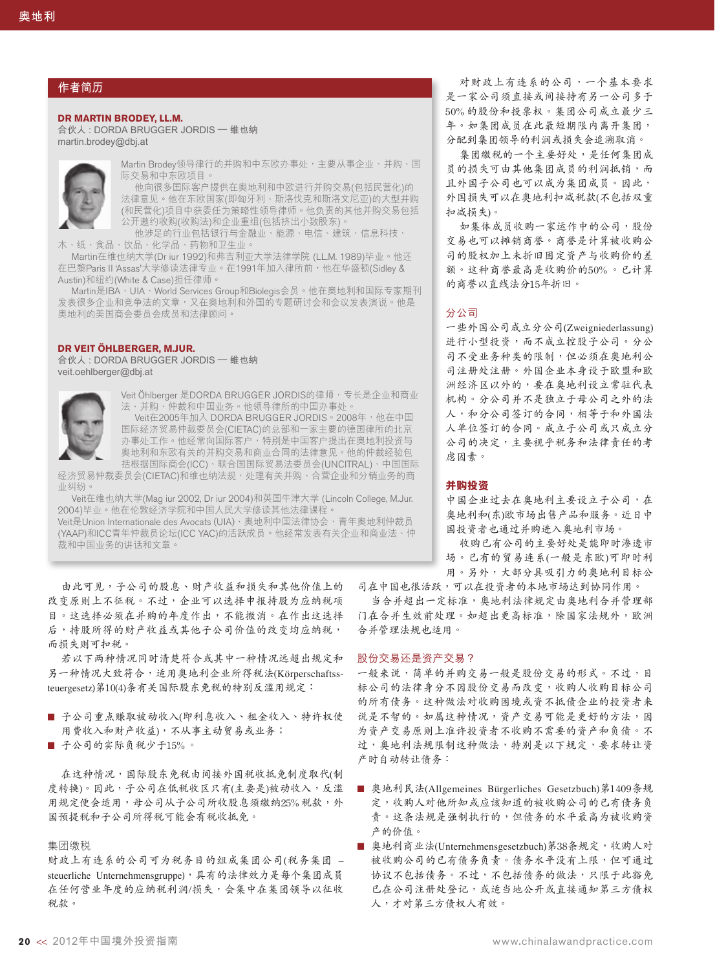### **作者簡歷**

**Dr Martin Brodey, LL.M. 合伙人 : DORDA BRUGGER JORDIS – 維也納**

**martin.brodey@dbj.at**



Martin Brodey领导律行的并购和中东欧办事处,主要从事企业、并购、国 际交易和中东欧项目。 他向很多国际客户提供在奥地利和中欧进行并购交易(包括民营化)的

法律意见。他在东欧国家(即匈牙利、斯洛伐克和斯洛文尼亚)的大型并购 (和民营化)项目中获委任为策略性领导律师。他负责的其他并购交易包括 公开邀约收购(收购法)和企业重组(包括挤出小数股东)。 他涉足的行业包括银行与金融业、能源、电信、建筑、信息科技、

木、纸、食品、饮品、化学品、药物和卫生业

Martin在维也纳大学(Dr iur 1992)和弗吉利亚大学法律学院 (LL.M. 1989)毕业。他还 在巴黎Paris II 'Assas'大学修读法律专业。在1991年加入律所前,他在华盛顿(Sidley & Austin)和紐約(White & Case)擔任律師。

Martin是IBA、UIA、World Services Group和Biolegis会员。他在奥地利和国际专家期刊 发表很多企业和竞争法的文章,又在奥地利和外国的专题研讨会和会议发表演说。他是 奧地利的美國商會委員會成員和法律顧問。

### **Dr Veit Öhlberger, M.Jur.**

**合伙人 : DORDA BRUGGER JORDIS – 維也納 veit.oehlberger@dbj.at**



Veit Öhlberger 是DORDA BRUGGER JORDIS的律师,专长是企业和商业 法、并购、仲裁和中国业务。他领导律所的中国办事处。

Veit在2005年加入 DORDA BRUGGER JORDIS。2008年,他在中国 国际经济贸易仲裁委员会(CIETAC)的总部和一家主要的德国律所的北京 办事处工作。他经常向国际客户,特別是中国客户提出在奥地利投资与 奥地利和东欧有关的并购交易和商业合同的法律意见。他的仲裁经验包 括根據國際商會(ICC)、聯合國國際貿易法委員會(UNCITRAL)、中國國際

经济贸易仲裁委员会(CIETAC)和维也纳法规,处理有关并购、合营企业和分销业务的商 業糾紛。

Veit在維也納大學(Mag iur 2002, Dr iur 2004)和英國牛津大學 (Lincoln College, M.Jur. 2004)毕业。他在伦敦经济学院和中国人民大学修读其他法律课程。

Veit是Union Internationale des Avocats (UIA)、奧地利中國法律協會、青年奧地利仲裁員 (YAAP)和ICC青年仲裁员论坛(ICC YAC)的活跃成员。他经常发表有关企业和商业法、仲 裁和中国业务的讲话和文章。

由此可见,子公司的股息、财产收益和损失和其他价值上的 改变原则上不征税。不过,企业可以选择申报持股为应纳税项 目。这选择必须在并购的年度作出,不能撤消。在作出这选择 后,持股所得的财产收益或其他子公司价值的改变均应纳税, 而損失則可扣稅。

若以下兩種情況同時清楚符合或其中一種情況遠超出規定和 另一种情况大致符合,适用奥地利企业所得税法(Körperschaftssteuergesetz)第10(4)条有关国际股东免税的特别反滥用规定:

- 子公司重点赚取被动收入(即利息收入、租金收入、特许权使 用费收入和财产收益),不从事主动贸易或业务;
- 子公司的实际负税少于15%。

在这种情况,国际股东免税由间接外国税收抵免制度取代(制 度轉換)。因此,子公司在低稅收區只有(主要是)被動收入,反濫 用规定便会适用,母公司从子公司所收股息须缴纳25%稅款,外 國預提稅和子公司所得稅可能會有稅收抵免。

### 集团缴税

財政上有連系的公司可為稅務目的組成集團公司(稅務集團 – steuerliche Unternehmensgruppe),具有的法律效力是每个集团成员 在任何营业年度的应纳税利润/损失,会集中在集团领导以征收 稅款。

对财政上有连系的公司,一个基本要求 是一家公司須直接或間接持有另一公司多于 50%的股份和投票權。集團公司成立最少三 年。如集团成员在此最短期限内离开集团, 分配到集團領導的利潤或損失會追溯取消。

集团缴税的一个主要好处,是任何集团成 員的損失可由其他集團成員的利潤抵銷,而 且外國子公司也可以成為集團成員。因此, 外国损失可以在奥地利扣减税款(不包括双重 扣減損失)。

如集体成员收购一家运作中的公司,股份 交易也可以摊销商誉。商誉是计算被收购公 司的股权加上未折旧固定资产与收购价的差 额。这种商誉最高是收购价的50%。已计算 的商譽以直線法分15年折舊。

### 分公司

一些外國公司成立分公司(Zweigniederlassung) 进行小型投资,而不成立控股子公司。分公 司不受业务种类的限制,但必须在奥地利公 司注册处注册。外国企业本身设于欧盟和欧 洲經濟區以外的,要在奧地利設立常駐代表 机构。分公司并不是独立于母公司之外的法 人,和分公司簽訂的合同,相等于和外國法 人單位簽訂的合同。成立子公司或只成立分 公司的決定,主要視乎稅務和法律責任的考 慮因素。

### **并购投资**

中国企业过去在奥地利主要设立子公司,在 奥地利和(东)欧市场出售产品和服务。近日中 国投资者也通过并购进入奥地利市场。

收购已有公司的主要好处是能即时渗透市 場。已有的貿易連系(一般是東歐)可即時利 用。另外,大部分具吸引力的奥地利目标公

司在中國也很活躍,可以在投資者的本地市場達到協同作用。 当合并超出一定标准,奧地利法律规定由奧地利合并管理部

门在合并生效前处理。如超出更高标准,除国家法规外,欧洲 合並管理法規也適用。

### 股份交易還是資產交易?

一般来说,简单的并购交易一般是股份交易的形式。不过,目 標公司的法律身分不因股份交易而改變,收購人收購目標公司 的所有债务。这种做法对收购困境或资不抵债企业的投资者来 说是不智的。如属这种情况,资产交易可能是更好的方法,因 为资产交易原则上准许投资者不收购不需要的资产和负债。不 过,奧地利法规限制这种做法,特别是以下规定,要求转让资 产时自动转让债务:

- 奥地利民法(Allgemeines Bürgerliches Gesetzbuch)第1409条规 定,收购人对他所知或应该知道的被收购公司的已有债务负 责。这条法规是强制执行的,但债务的水平最高为被收购资 产的价值。
- 奥地利商业法(Unternehmensgesetzbuch)第38条规定,收购人对 被收購公司的已有債務負責。債務水平沒有上限,但可通過 协议不包括债务的做法,只限于此豁免 已在公司注册处登记,或适当地公开或直接通知第三方债权 人,才对第三方债权人有效。